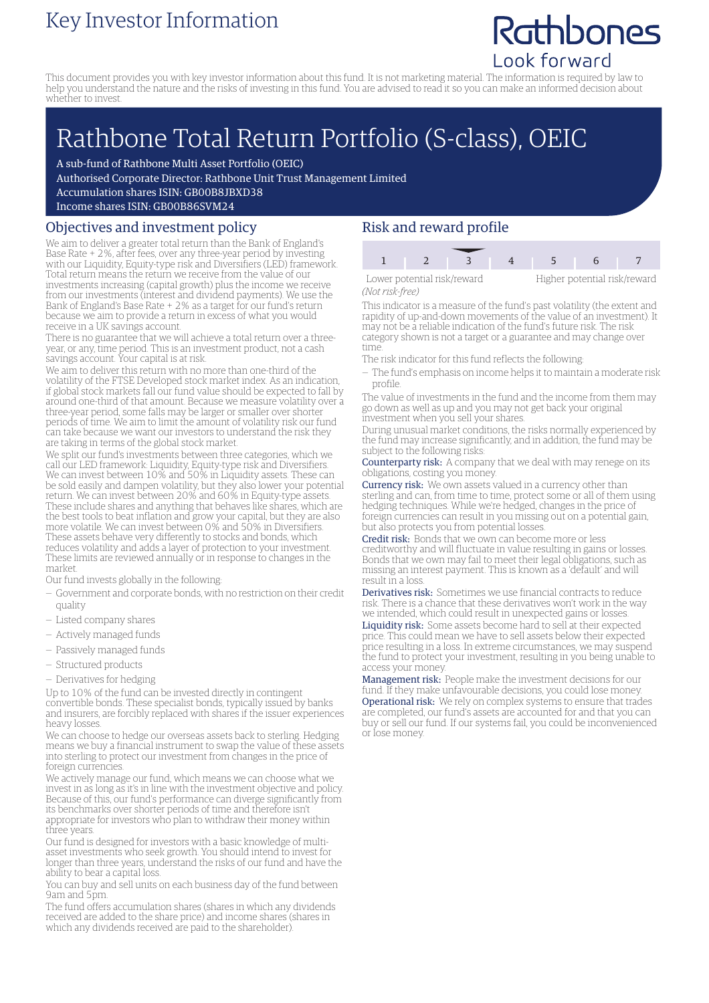### Key Investor Information

## Rathbones Look forward

This document provides you with key investor information about this fund. It is not marketing material. The information is required by law to help you understand the nature and the risks of investing in this fund. You are advised to read it so you can make an informed decision about whether to invest.

# Rathbone Total Return Portfolio (S-class), OEIC

A sub-fund of Rathbone Multi Asset Portfolio (OEIC)

Authorised Corporate Director: Rathbone Unit Trust Management Limited

Accumulation shares ISIN: GB00B8JBXD38

Income shares ISIN: GB00B86SVM24

#### Objectives and investment policy

We aim to deliver a greater total return than the Bank of England's Base Rate + 2%, after fees, over any three-year period by investing with our Liquidity, Equity-type risk and Diversifiers (LED) framework. Total return means the return we receive from the value of our investments increasing (capital growth) plus the income we receive from our investments (interest and dividend payments). We use the Bank of England's Base Rate + 2% as a target for our fund's return because we aim to provide a return in excess of what you would receive in a UK savings account.

There is no guarantee that we will achieve a total return over a threeyear, or any, time period. This is an investment product, not a cash savings account. Your capital is at risk.

We aim to deliver this return with no more than one-third of the volatility of the FTSE Developed stock market index. As an indication, if global stock markets fall our fund value should be expected to fall by around one-third of that amount. Because we measure volatility over a three-year period, some falls may be larger or smaller over shorter periods of time. We aim to limit the amount of volatility risk our fund can take because we want our investors to understand the risk they are taking in terms of the global stock market.

We split our fund's investments between three categories, which we call our LED framework: Liquidity, Equity-type risk and Diversifiers. We can invest between 10% and 50% in Liquidity assets. These can be sold easily and dampen volatility, but they also lower your potential return. We can invest between 20% and 60% in Equity-type assets. These include shares and anything that behaves like shares, which are the best tools to beat inflation and grow your capital, but they are also more volatile. We can invest between 0% and 50% in Diversifiers. These assets behave very differently to stocks and bonds, which reduces volatility and adds a layer of protection to your investment. These limits are reviewed annually or in response to changes in the market.

Our fund invests globally in the following:

- Government and corporate bonds, with no restriction on their credit quality
- Listed company shares
- Actively managed funds
- Passively managed funds
- Structured products
- Derivatives for hedging

Up to 10% of the fund can be invested directly in contingent convertible bonds. These specialist bonds, typically issued by banks and insurers, are forcibly replaced with shares if the issuer experiences heavy losses.

We can choose to hedge our overseas assets back to sterling. Hedging means we buy a financial instrument to swap the value of these assets into sterling to protect our investment from changes in the price of foreign currencies.

We actively manage our fund, which means we can choose what we invest in as long as it's in line with the investment objective and policy. Because of this, our fund's performance can diverge significantly from its benchmarks over shorter periods of time and therefore isn't appropriate for investors who plan to withdraw their money within three years.

Our fund is designed for investors with a basic knowledge of multiasset investments who seek growth. You should intend to invest for longer than three years, understand the risks of our fund and have the ability to bear a capital loss.

You can buy and sell units on each business day of the fund between 9am and 5pm.

The fund offers accumulation shares (shares in which any dividends received are added to the share price) and income shares (shares in which any dividends received are paid to the shareholder).

#### Risk and reward profile

| Lower potential risk/reward |  |  |  | Higher potentia |  |
|-----------------------------|--|--|--|-----------------|--|
| Not rick-froo)              |  |  |  |                 |  |

Higher potential risk/reward

*(Not risk-free)*

This indicator is a measure of the fund's past volatility (the extent and rapidity of up-and-down movements of the value of an investment). It may not be a reliable indication of the fund's future risk. The risk category shown is not a target or a guarantee and may change over time.

- The risk indicator for this fund reflects the following:
- The fund's emphasis on income helps it to maintain a moderate risk profile.

The value of investments in the fund and the income from them may go down as well as up and you may not get back your original investment when you sell your shares.

During unusual market conditions, the risks normally experienced by the fund may increase significantly, and in addition, the fund may be subject to the following risks:

Counterparty risk: A company that we deal with may renege on its obligations, costing you money.

Currency risk: We own assets valued in a currency other than sterling and can, from time to time, protect some or all of them using hedging techniques. While we're hedged, changes in the price of foreign currencies can result in you missing out on a potential gain, but also protects you from potential losses.

Credit risk: Bonds that we own can become more or less creditworthy and will fluctuate in value resulting in gains or losses. Bonds that we own may fail to meet their legal obligations, such as missing an interest payment. This is known as a 'default' and will result in a loss.

Derivatives risk: Sometimes we use financial contracts to reduce risk. There is a chance that these derivatives won't work in the way we intended, which could result in unexpected gains or losses. Liquidity risk: Some assets become hard to sell at their expected price. This could mean we have to sell assets below their expected price resulting in a loss. In extreme circumstances, we may suspend the fund to protect your investment, resulting in you being unable to access your money.

Management risk: People make the investment decisions for our fund. If they make unfavourable decisions, you could lose money. Operational risk: We rely on complex systems to ensure that trades are completed, our fund's assets are accounted for and that you can buy or sell our fund. If our systems fail, you could be inconvenienced or lose money.